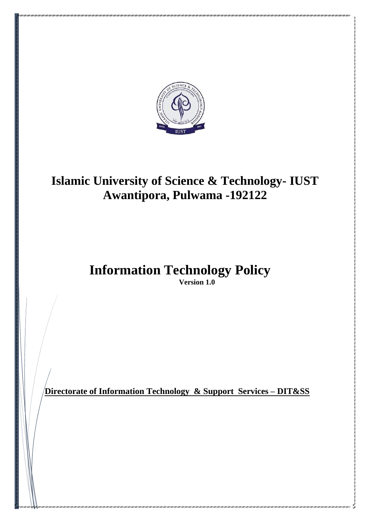

# **Islamic University of Science & Technology- IUST Awantipora, Pulwama -192122**

**Information Technology Policy Version 1.0**

**Directorate of Information Technology & Support Services – DIT&SS**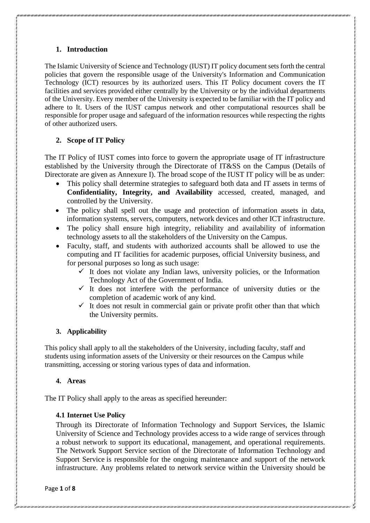# **1. Introduction**

The Islamic University of Science and Technology (IUST) IT policy document sets forth the central policies that govern the responsible usage of the University's Information and Communication Technology (ICT) resources by its authorized users. This IT Policy document covers the IT facilities and services provided either centrally by the University or by the individual departments of the University. Every member of the University is expected to be familiar with the IT policy and adhere to It. Users of the IUST campus network and other computational resources shall be responsible for proper usage and safeguard of the information resources while respecting the rights of other authorized users.

# **2. Scope of IT Policy**

The IT Policy of IUST comes into force to govern the appropriate usage of IT infrastructure established by the University through the Directorate of IT&SS on the Campus (Details of Directorate are given as Annexure I). The broad scope of the IUST IT policy will be as under:

- This policy shall determine strategies to safeguard both data and IT assets in terms of **Confidentiality, Integrity, and Availability** accessed, created, managed, and controlled by the University.
- The policy shall spell out the usage and protection of information assets in data, information systems, servers, computers, network devices and other ICT infrastructure.
- The policy shall ensure high integrity, reliability and availability of information technology assets to all the stakeholders of the University on the Campus.
- Faculty, staff, and students with authorized accounts shall be allowed to use the computing and IT facilities for academic purposes, official University business, and for personal purposes so long as such usage:
	- $\checkmark$  It does not violate any Indian laws, university policies, or the Information Technology Act of the Government of India.
	- $\checkmark$  It does not interfere with the performance of university duties or the completion of academic work of any kind.
	- $\checkmark$  It does not result in commercial gain or private profit other than that which the University permits.

# **3. Applicability**

This policy shall apply to all the stakeholders of the University, including faculty, staff and students using information assets of the University or their resources on the Campus while transmitting, accessing or storing various types of data and information.

# **4. Areas**

The IT Policy shall apply to the areas as specified hereunder:

# **4.1 Internet Use Policy**

Through its Directorate of Information Technology and Support Services, the Islamic University of Science and Technology provides access to a wide range of services through a robust network to support its educational, management, and operational requirements. The Network Support Service section of the Directorate of Information Technology and Support Service is responsible for the ongoing maintenance and support of the network infrastructure. Any problems related to network service within the University should be

Page **1** of **8**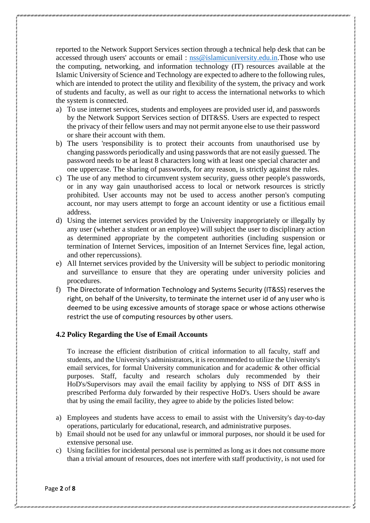reported to the Network Support Services section through a technical help desk that can be accessed through users' accounts or email : [nss@islamicuniversity.edu.in.](mailto:nss@islamicuniversity.edu.in)Those who use the computing, networking, and information technology (IT) resources available at the Islamic University of Science and Technology are expected to adhere to the following rules, which are intended to protect the utility and flexibility of the system, the privacy and work of students and faculty, as well as our right to access the international networks to which the system is connected.

- a) To use internet services, students and employees are provided user id, and passwords by the Network Support Services section of DIT&SS. Users are expected to respect the privacy of their fellow users and may not permit anyone else to use their password or share their account with them.
- b) The users 'responsibility is to protect their accounts from unauthorised use by changing passwords periodically and using passwords that are not easily guessed. The password needs to be at least 8 characters long with at least one special character and one uppercase. The sharing of passwords, for any reason, is strictly against the rules.
- c) The use of any method to circumvent system security, guess other people's passwords, or in any way gain unauthorised access to local or network resources is strictly prohibited. User accounts may not be used to access another person's computing account, nor may users attempt to forge an account identity or use a fictitious email address.
- d) Using the internet services provided by the University inappropriately or illegally by any user (whether a student or an employee) will subject the user to disciplinary action as determined appropriate by the competent authorities (including suspension or termination of Internet Services, imposition of an Internet Services fine, legal action, and other repercussions).
- e) All Internet services provided by the University will be subject to periodic monitoring and surveillance to ensure that they are operating under university policies and procedures.
- f) The Directorate of Information Technology and Systems Security (IT&SS) reserves the right, on behalf of the University, to terminate the internet user id of any user who is deemed to be using excessive amounts of storage space or whose actions otherwise restrict the use of computing resources by other users.

# **4.2 Policy Regarding the Use of Email Accounts**

To increase the efficient distribution of critical information to all faculty, staff and students, and the University's administrators, it is recommended to utilize the University's email services, for formal University communication and for academic & other official purposes. Staff, faculty and research scholars duly recommended by their HoD's/Supervisors may avail the email facility by applying to NSS of DIT &SS in prescribed Performa duly forwarded by their respective HoD's. Users should be aware that by using the email facility, they agree to abide by the policies listed below:

- a) Employees and students have access to email to assist with the University's day-to-day operations, particularly for educational, research, and administrative purposes.
- b) Email should not be used for any unlawful or immoral purposes, nor should it be used for extensive personal use.
- c) Using facilities for incidental personal use is permitted as long as it does not consume more than a trivial amount of resources, does not interfere with staff productivity, is not used for

Page **2** of **8**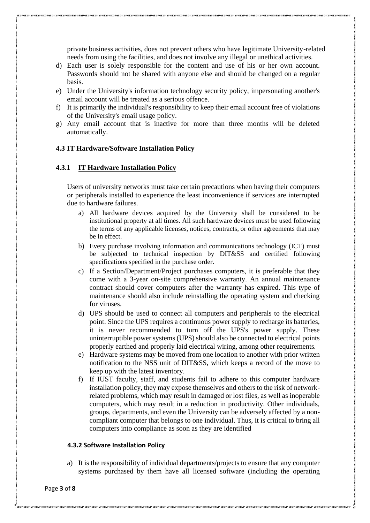private business activities, does not prevent others who have legitimate University-related needs from using the facilities, and does not involve any illegal or unethical activities.

- d) Each user is solely responsible for the content and use of his or her own account. Passwords should not be shared with anyone else and should be changed on a regular basis.
- e) Under the University's information technology security policy, impersonating another's email account will be treated as a serious offence.
- f) It is primarily the individual's responsibility to keep their email account free of violations of the University's email usage policy.
- g) Any email account that is inactive for more than three months will be deleted automatically.

## **4.3 IT Hardware/Software Installation Policy**

## **4.3.1 IT Hardware Installation Policy**

Users of university networks must take certain precautions when having their computers or peripherals installed to experience the least inconvenience if services are interrupted due to hardware failures.

- a) All hardware devices acquired by the University shall be considered to be institutional property at all times. All such hardware devices must be used following the terms of any applicable licenses, notices, contracts, or other agreements that may be in effect.
- b) Every purchase involving information and communications technology (ICT) must be subjected to technical inspection by DIT&SS and certified following specifications specified in the purchase order.
- c) If a Section/Department/Project purchases computers, it is preferable that they come with a 3-year on-site comprehensive warranty. An annual maintenance contract should cover computers after the warranty has expired. This type of maintenance should also include reinstalling the operating system and checking for viruses.
- d) UPS should be used to connect all computers and peripherals to the electrical point. Since the UPS requires a continuous power supply to recharge its batteries, it is never recommended to turn off the UPS's power supply. These uninterruptible power systems (UPS) should also be connected to electrical points properly earthed and properly laid electrical wiring, among other requirements.
- e) Hardware systems may be moved from one location to another with prior written notification to the NSS unit of DIT&SS, which keeps a record of the move to keep up with the latest inventory.
- f) If IUST faculty, staff, and students fail to adhere to this computer hardware installation policy, they may expose themselves and others to the risk of networkrelated problems, which may result in damaged or lost files, as well as inoperable computers, which may result in a reduction in productivity. Other individuals, groups, departments, and even the University can be adversely affected by a noncompliant computer that belongs to one individual. Thus, it is critical to bring all computers into compliance as soon as they are identified

#### **4.3.2 Software Installation Policy**

a) It is the responsibility of individual departments/projects to ensure that any computer systems purchased by them have all licensed software (including the operating

Page **3** of **8**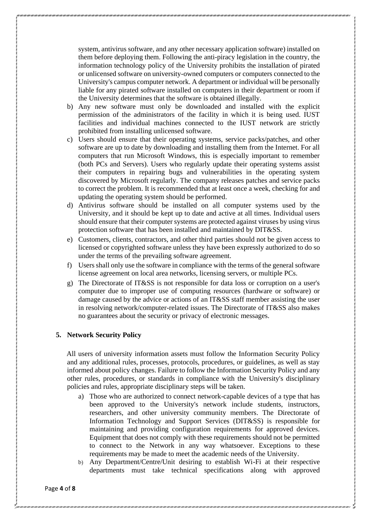system, antivirus software, and any other necessary application software) installed on them before deploying them. Following the anti-piracy legislation in the country, the information technology policy of the University prohibits the installation of pirated or unlicensed software on university-owned computers or computers connected to the University's campus computer network. A department or individual will be personally liable for any pirated software installed on computers in their department or room if the University determines that the software is obtained illegally.

- b) Any new software must only be downloaded and installed with the explicit permission of the administrators of the facility in which it is being used. IUST facilities and individual machines connected to the IUST network are strictly prohibited from installing unlicensed software.
- c) Users should ensure that their operating systems, service packs/patches, and other software are up to date by downloading and installing them from the Internet. For all computers that run Microsoft Windows, this is especially important to remember (both PCs and Servers). Users who regularly update their operating systems assist their computers in repairing bugs and vulnerabilities in the operating system discovered by Microsoft regularly. The company releases patches and service packs to correct the problem. It is recommended that at least once a week, checking for and updating the operating system should be performed.
- d) Antivirus software should be installed on all computer systems used by the University, and it should be kept up to date and active at all times. Individual users should ensure that their computer systems are protected against viruses by using virus protection software that has been installed and maintained by DIT&SS.
- e) Customers, clients, contractors, and other third parties should not be given access to licensed or copyrighted software unless they have been expressly authorized to do so under the terms of the prevailing software agreement.
- f) Users shall only use the software in compliance with the terms of the general software license agreement on local area networks, licensing servers, or multiple PCs.
- g) The Directorate of IT&SS is not responsible for data loss or corruption on a user's computer due to improper use of computing resources (hardware or software) or damage caused by the advice or actions of an IT&SS staff member assisting the user in resolving network/computer-related issues. The Directorate of IT&SS also makes no guarantees about the security or privacy of electronic messages.

### **5. Network Security Policy**

All users of university information assets must follow the Information Security Policy and any additional rules, processes, protocols, procedures, or guidelines, as well as stay informed about policy changes. Failure to follow the Information Security Policy and any other rules, procedures, or standards in compliance with the University's disciplinary policies and rules, appropriate disciplinary steps will be taken.

- a) Those who are authorized to connect network-capable devices of a type that has been approved to the University's network include students, instructors, researchers, and other university community members. The Directorate of Information Technology and Support Services (DIT&SS) is responsible for maintaining and providing configuration requirements for approved devices. Equipment that does not comply with these requirements should not be permitted to connect to the Network in any way whatsoever. Exceptions to these requirements may be made to meet the academic needs of the University.
- b) Any Department/Centre/Unit desiring to establish Wi-Fi at their respective departments must take technical specifications along with approved

Page **4** of **8**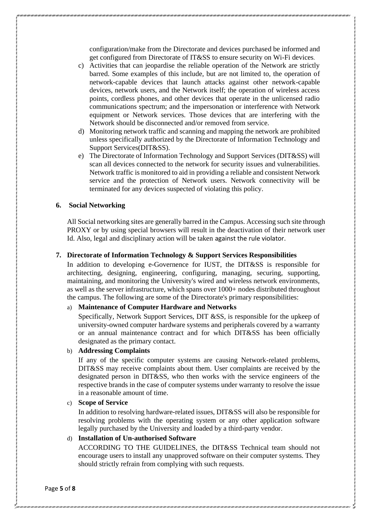configuration/make from the Directorate and devices purchased be informed and get configured from Directorate of IT&SS to ensure security on Wi-Fi devices.

- c) Activities that can jeopardise the reliable operation of the Network are strictly barred. Some examples of this include, but are not limited to, the operation of network-capable devices that launch attacks against other network-capable devices, network users, and the Network itself; the operation of wireless access points, cordless phones, and other devices that operate in the unlicensed radio communications spectrum; and the impersonation or interference with Network equipment or Network services. Those devices that are interfering with the Network should be disconnected and/or removed from service.
- d) Monitoring network traffic and scanning and mapping the network are prohibited unless specifically authorized by the Directorate of Information Technology and Support Services(DIT&SS).
- e) The Directorate of Information Technology and Support Services (DIT&SS) will scan all devices connected to the network for security issues and vulnerabilities. Network traffic is monitored to aid in providing a reliable and consistent Network service and the protection of Network users. Network connectivity will be terminated for any devices suspected of violating this policy.

#### **6. Social Networking**

All Social networking sites are generally barred in the Campus. Accessing such site through PROXY or by using special browsers will result in the deactivation of their network user Id. Also, legal and disciplinary action will be taken against the rule violator.

### **7. Directorate of Information Technology & Support Services Responsibilities**

In addition to developing e-Governence for IUST, the DIT&SS is responsible for architecting, designing, engineering, configuring, managing, securing, supporting, maintaining, and monitoring the University's wired and wireless network environments, as well as the server infrastructure, which spans over 1000+ nodes distributed throughout the campus. The following are some of the Directorate's primary responsibilities:

### a) **Maintenance of Computer Hardware and Networks**

Specifically, Network Support Services, DIT &SS, is responsible for the upkeep of university-owned computer hardware systems and peripherals covered by a warranty or an annual maintenance contract and for which DIT&SS has been officially designated as the primary contact.

#### b) **Addressing Complaints**

If any of the specific computer systems are causing Network-related problems, DIT&SS may receive complaints about them. User complaints are received by the designated person in DIT&SS, who then works with the service engineers of the respective brands in the case of computer systems under warranty to resolve the issue in a reasonable amount of time.

#### c) **Scope of Service**

In addition to resolving hardware-related issues, DIT&SS will also be responsible for resolving problems with the operating system or any other application software legally purchased by the University and loaded by a third-party vendor.

# d) **Installation of Un-authorised Software**

ACCORDING TO THE GUIDELINES, the DIT&SS Technical team should not encourage users to install any unapproved software on their computer systems. They should strictly refrain from complying with such requests.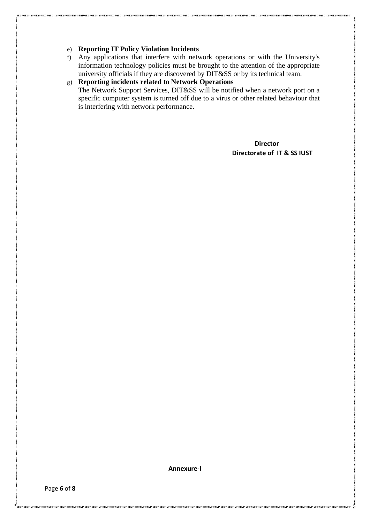# e) **Reporting IT Policy Violation Incidents**

f) Any applications that interfere with network operations or with the University's information technology policies must be brought to the attention of the appropriate university officials if they are discovered by DIT&SS or by its technical team.

# g) **Reporting incidents related to Network Operations**  The Network Support Services, DIT&SS will be notified when a network port on a specific computer system is turned off due to a virus or other related behaviour that is interfering with network performance.

**Director Director Directorate of IT & SS IUST**

**Annexure-I**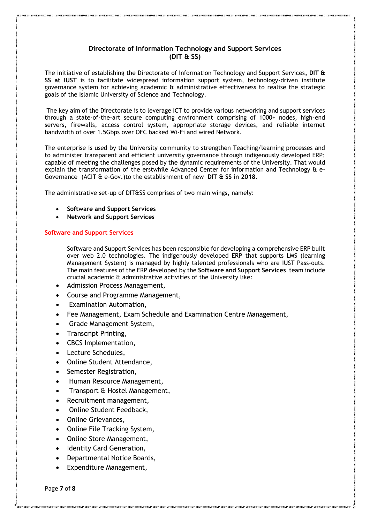## **Directorate of Information Technology and Support Services (DIT & SS)**

The initiative of establishing the Directorate of Information Technology and Support Services**, DIT & SS at IUST** is to facilitate widespread information support system, technology-driven institute governance system for achieving academic & administrative effectiveness to realise the strategic goals of the Islamic University of Science and Technology.

The key aim of the Directorate is to leverage ICT to provide various networking and support services through a state-of-the-art secure computing environment comprising of 1000+ nodes, high-end servers, firewalls, access control system, appropriate storage devices, and reliable internet bandwidth of over 1.5Gbps over OFC backed Wi-Fi and wired Network.

The enterprise is used by the University community to strengthen Teaching/learning processes and to administer transparent and efficient university governance through indigenously developed ERP; capable of meeting the challenges posed by the dynamic requirements of the University. That would explain the transformation of the erstwhile Advanced Center for information and Technology & e-Governance (ACIT & e-Gov.)to the establishment of new **DIT & SS in 2018.**

The administrative set-up of DIT&SS comprises of two main wings, namely:

- **Software and Support Services**
- **Network and Support Services**

## **Software and Support Services**

Software and Support Services has been responsible for developing a comprehensive ERP built over web 2.0 technologies. The indigenously developed ERP that supports LMS (learning Management System) is managed by highly talented professionals who are IUST Pass-outs. The main features of the ERP developed by the **Software and Support Services** team include crucial academic & administrative activities of the University like:

- Admission Process Management,
- Course and Programme Management,
- Examination Automation,
- Fee Management, Exam Schedule and Examination Centre Management,
- Grade Management System,
- Transcript Printing,
- CBCS Implementation,
- Lecture Schedules,
- Online Student Attendance,
- Semester Registration,
- Human Resource Management,
- Transport & Hostel Management,
- Recruitment management,
- Online Student Feedback,
- Online Grievances,
- Online File Tracking System,
- Online Store Management,
- Identity Card Generation,
- Departmental Notice Boards,
- Expenditure Management,

Page **7** of **8**